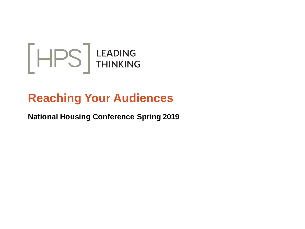

# **Reaching Your Audiences**

### **National Housing Conference Spring 2019**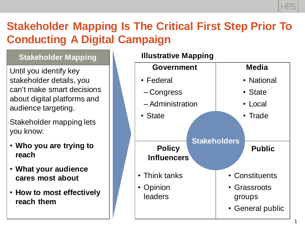## **Stakeholder Mapping Is The Critical First Step Prior To Conducting A Digital Campaign**

### **Stakeholder Mapping**

Until you identify key stakeholder details, you can't make smart decisions about digital platforms and audience targeting.

Stakeholder mapping lets you know:

- **Who you are trying to reach**
- **What your audience cares most about**
- **How to most effectively reach them**

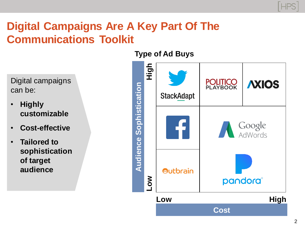

## **Digital Campaigns Are A Key Part Of The Communications Toolkit**

Digital campaigns can be:

- **Highly customizable**
- **Cost-effective**
- **Tailored to sophistication of target audience**

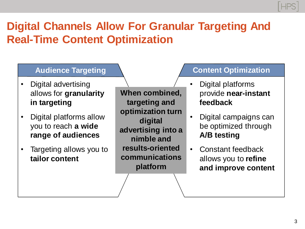# **Digital Channels Allow For Granular Targeting And Real-Time Content Optimization**

### **Audience Targeting**

- Digital advertising allows for **granularity in targeting**
- Digital platforms allow you to reach **a wide range of audiences**
- Targeting allows you to **tailor content**

**When combined, targeting and optimization turn digital advertising into a nimble and results-oriented communications platform**

### **Content Optimization**

- Digital platforms provide **near-instant feedback**
- Digital campaigns can be optimized through **A/B testing**
- Constant feedback allows you to **refine and improve content**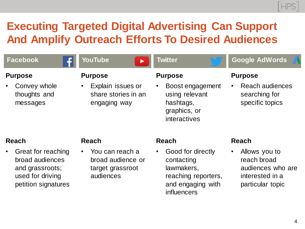# **Executing Targeted Digital Advertising Can Support And Amplify Outreach Efforts To Desired Audiences**

| <b>Facebook</b>                                                                                                                  | <b>YouTube</b>                                                                        | <b>Twitter</b>                                                                                                                        | <b>Google AdWords</b>                                                                                                 |
|----------------------------------------------------------------------------------------------------------------------------------|---------------------------------------------------------------------------------------|---------------------------------------------------------------------------------------------------------------------------------------|-----------------------------------------------------------------------------------------------------------------------|
| <b>Purpose</b><br>Convey whole<br>thoughts and<br>messages                                                                       | <b>Purpose</b><br>Explain issues or<br>share stories in an<br>engaging way            | <b>Purpose</b><br>Boost engagement<br>$\bullet$<br>using relevant<br>hashtags,<br>graphics, or<br>interactives                        | <b>Purpose</b><br>Reach audiences<br>$\bullet$<br>searching for<br>specific topics                                    |
| <b>Reach</b><br>Great for reaching<br>$\bullet$<br>broad audiences<br>and grassroots;<br>used for driving<br>petition signatures | <b>Reach</b><br>You can reach a<br>broad audience or<br>target grassroot<br>audiences | <b>Reach</b><br>Good for directly<br>$\bullet$<br>contacting<br>lawmakers,<br>reaching reporters,<br>and engaging with<br>influencers | <b>Reach</b><br>Allows you to<br>$\bullet$<br>reach broad<br>audiences who are<br>interested in a<br>particular topic |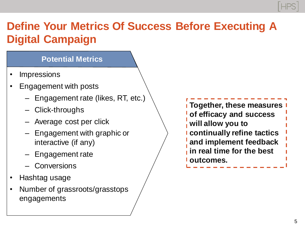# **Define Your Metrics Of Success Before Executing A Digital Campaign**

### **Potential Metrics**

- **Impressions**
- Engagement with posts
	- Engagement rate (likes, RT, etc.)
	- Click-throughs
	- Average cost per click
	- Engagement with graphic or interactive (if any)
	- Engagement rate
	- Conversions
- Hashtag usage
- Number of grassroots/grasstops engagements

**Together, these measures of efficacy and success will allow you to continually refine tactics and implement feedback in real time for the best outcomes.**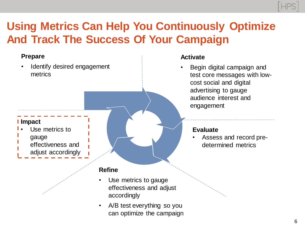# **Using Metrics Can Help You Continuously Optimize And Track The Success Of Your Campaign**

#### **Prepare**

Identify desired engagement metrics

#### **Impact**

- Use metrics to gauge
	- effectiveness and
	- adjust accordingly

#### **Refine**

- Use metrics to gauge effectiveness and adjust accordingly
- A/B test everything so you can optimize the campaign

#### **Activate**

• Begin digital campaign and test core messages with lowcost social and digital advertising to gauge audience interest and engagement

#### **Evaluate**

• Assess and record predetermined metrics